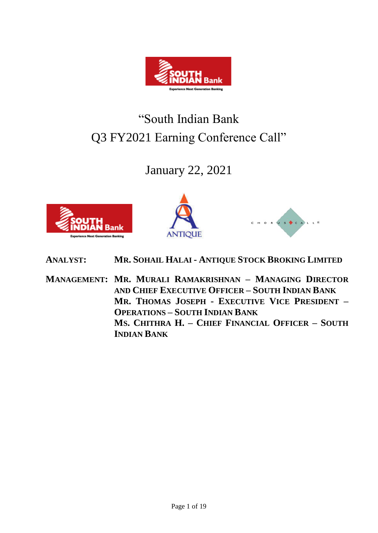

# "South Indian Bank Q3 FY2021 Earning Conference Call"

## January 22, 2021







- **ANALYST: MR. SOHAIL HALAI - ANTIQUE STOCK BROKING LIMITED**
- **MANAGEMENT: MR. MURALI RAMAKRISHNAN – MANAGING DIRECTOR AND CHIEF EXECUTIVE OFFICER – SOUTH INDIAN BANK MR. THOMAS JOSEPH - EXECUTIVE VICE PRESIDENT – OPERATIONS – SOUTH INDIAN BANK MS. CHITHRA H. – CHIEF FINANCIAL OFFICER – SOUTH INDIAN BANK**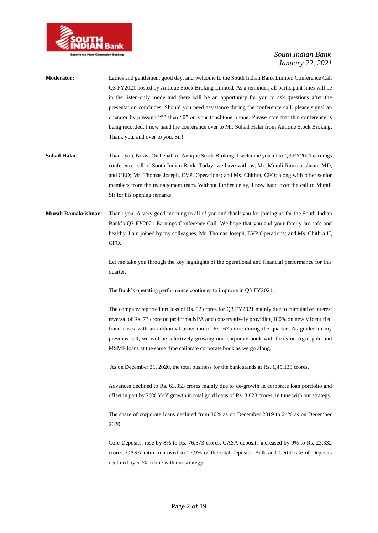

| <b>Moderator:</b> | Ladies and gentlemen, good day, and welcome to the South Indian Bank Limited Conference Call    |
|-------------------|-------------------------------------------------------------------------------------------------|
|                   | O3 FY2021 hosted by Antique Stock Broking Limited. As a reminder, all participant lines will be |
|                   | in the listen-only mode and there will be an opportunity for you to ask questions after the     |
|                   | presentation concludes. Should you need assistance during the conference call, please signal an |
|                   | operator by pressing "*" then "0" on your touchtone phone. Please note that this conference is  |
|                   | being recorded. I now hand the conference over to Mr. Sohail Halai from Antique Stock Broking.  |
|                   | Thank you, and over to you, Sir!                                                                |
| Sohail Halai:     | Thank you, Nirav. On behalf of Antique Stock Broking, I welcome you all to Q3 FY2021 earnings   |
|                   | conference call of South Indian Bank. Today, we have with us, Mr. Murali Ramakrishnan, MD,      |
|                   | and CEO; Mr. Thomas Joseph, EVP, Operations; and Ms. Chithra, CFO; along with other senior      |

**Murali Ramakrishnan**: Thank you. A very good morning to all of you and thank you for joining us for the South Indian Bank's Q3 FY2021 Earnings Conference Call. We hope that you and your family are safe and healthy. I am joined by my colleagues, Mr. Thomas Joseph, EVP Operations; and Ms. Chithra H, CFO.

Sir for his opening remarks.

Let me take you through the key highlights of the operational and financial performance for this quarter.

members from the management team. Without further delay, I now hand over the call to Murali

The Bank's operating performance continues to improve in Q3 FY2021.

The company reported net loss of Rs. 92 crores for Q3 FY2021 mainly due to cumulative interest reversal of Rs. 73 crore on proforma NPA and conservatively providing 100% on newly identified fraud cases with an additional provision of Rs. 67 crore during the quarter. As guided in my previous call, we will be selectively growing non-corporate book with focus on Agri, gold and MSME loans at the same time calibrate corporate book as we go along.

As on December 31, 2020, the total business for the bank stands at Rs. 1,45,139 crores.

Advances declined to Rs. 63,353 crores mainly due to de-growth in corporate loan portfolio and offset in part by 20% YoY growth in total gold loans of Rs. 8,823 crores, in tune with our strategy.

The share of corporate loans declined from 30% as on December 2019 to 24% as on December 2020.

Core Deposits, rose by 8% to Rs. 76,573 crores. CASA deposits increased by 9% to Rs. 23,332 crores. CASA ratio improved to 27.9% of the total deposits. Bulk and Certificate of Deposits declined by 51% in line with our strategy.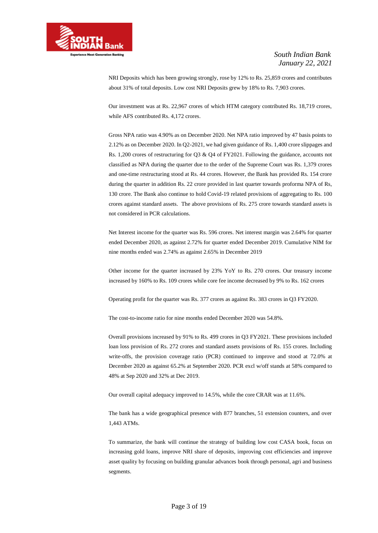

NRI Deposits which has been growing strongly, rose by 12% to Rs. 25,859 crores and contributes about 31% of total deposits. Low cost NRI Deposits grew by 18% to Rs. 7,903 crores.

Our investment was at Rs. 22,967 crores of which HTM category contributed Rs. 18,719 crores, while AFS contributed Rs. 4,172 crores.

Gross NPA ratio was 4.90% as on December 2020. Net NPA ratio improved by 47 basis points to 2.12% as on December 2020. In Q2-2021, we had given guidance of Rs. 1,400 crore slippages and Rs. 1,200 crores of restructuring for Q3 & Q4 of FY2021. Following the guidance, accounts not classified as NPA during the quarter due to the order of the Supreme Court was Rs. 1,379 crores and one-time restructuring stood at Rs. 44 crores. However, the Bank has provided Rs. 154 crore during the quarter in addition Rs. 22 crore provided in last quarter towards proforma NPA of Rs, 130 crore. The Bank also continue to hold Covid-19 related provisions of aggregating to Rs. 100 crores against standard assets. The above provisions of Rs. 275 crore towards standard assets is not considered in PCR calculations.

Net Interest income for the quarter was Rs. 596 crores. Net interest margin was 2.64% for quarter ended December 2020, as against 2.72% for quarter ended December 2019. Cumulative NIM for nine months ended was 2.74% as against 2.65% in December 2019

Other income for the quarter increased by 23% YoY to Rs. 270 crores. Our treasury income increased by 160% to Rs. 109 crores while core fee income decreased by 9% to Rs. 162 crores

Operating profit for the quarter was Rs. 377 crores as against Rs. 383 crores in Q3 FY2020.

The cost-to-income ratio for nine months ended December 2020 was 54.8%.

Overall provisions increased by 91% to Rs. 499 crores in Q3 FY2021. These provisions included loan loss provision of Rs. 272 crores and standard assets provisions of Rs. 155 crores. Including write-offs, the provision coverage ratio (PCR) continued to improve and stood at 72.0% at December 2020 as against 65.2% at September 2020. PCR excl w/off stands at 58% compared to 48% at Sep 2020 and 32% at Dec 2019.

Our overall capital adequacy improved to 14.5%, while the core CRAR was at 11.6%.

The bank has a wide geographical presence with 877 branches, 51 extension counters, and over 1,443 ATMs.

To summarize, the bank will continue the strategy of building low cost CASA book, focus on increasing gold loans, improve NRI share of deposits, improving cost efficiencies and improve asset quality by focusing on building granular advances book through personal, agri and business segments.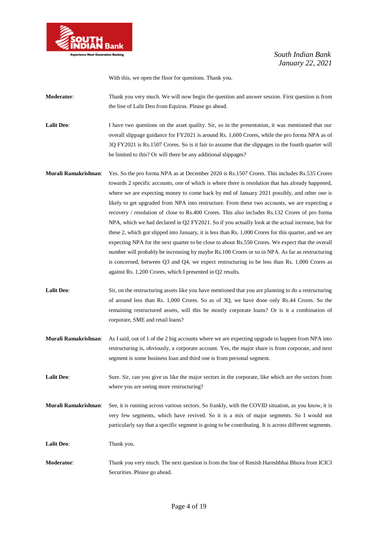

With this, we open the floor for questions. Thank you.

**Moderator**: Thank you very much. We will now begin the question and answer session. First question is from the line of Lalit Deo from Equirus. Please go ahead.

Lalit Deo: I have two questions on the asset quality. Sir, so in the presentation, it was mentioned that our overall slippage guidance for FY2021 is around Rs. 1,600 Crores, while the pro forma NPA as of 3Q FY2021 is Rs.1507 Crores. So is it fair to assume that the slippages in the fourth quarter will be limited to this? Or will there be any additional slippages?

- **Murali Ramakrishnan**: Yes. So the pro forma NPA as at December 2020 is Rs.1507 Crores. This includes Rs.535 Crores towards 2 specific accounts, one of which is where there is resolution that has already happened, where we are expecting money to come back by end of January 2021 possibly, and other one is likely to get upgraded from NPA into restructure. From these two accounts, we are expecting a recovery / resolution of close to Rs.400 Crores. This also includes Rs.132 Crores of pro forma NPA, which we had declared in Q2 FY2021. So if you actually look at the actual increase, but for these 2, which got slipped into January, it is less than Rs. 1,000 Crores for this quarter, and we are expecting NPA for the next quarter to be close to about Rs.550 Crores. We expect that the overall number will probably be increasing by maybe Rs.100 Crores or so in NPA. As far as restructuring is concerned, between Q3 and Q4, we expect restructuring to be less than Rs. 1,000 Crores as against Rs. 1,200 Crores, which I presented in Q2 results.
- Lalit Deo: Sir, on the restructuring assets like you have mentioned that you are planning to do a restructuring of around less than Rs. 1,000 Crores. So as of 3Q, we have done only Rs.44 Crores. So the remaining restructured assets, will this be mostly corporate loans? Or is it a combination of corporate, SME and retail loans?
- **Murali Ramakrishnan**: As I said, out of 1 of the 2 big accounts where we are expecting upgrade to happen from NPA into restructuring is, obviously, a corporate account. Yes, the major share is from corporate, and next segment is some business loan and third one is from personal segment.
- Lalit Deo: Sure. Sir, can you give us like the major sectors in the corporate, like which are the sectors from where you are seeing more restructuring?
- **Murali Ramakrishnan**: See, it is running across various sectors. So frankly, with the COVID situation, as you know, it is very few segments, which have revived. So it is a mix of major segments. So I would not particularly say that a specific segment is going to be contributing. It is across different segments.

**Lalit Deo**: Thank you.

**Moderator**: Thank you very much. The next question is from the line of Renish Hareshbhai Bhuva from ICICI Securities. Please go ahead.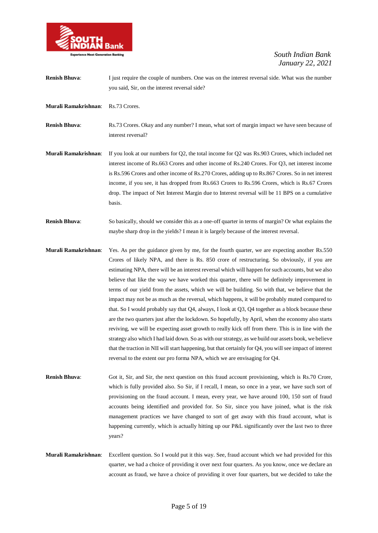

| <b>Renish Bhuva:</b> | I just require the couple of numbers. One was on the interest reversal side. What was the number<br>you said, Sir, on the interest reversal side?                                                                                                                                                                                                                                                                                                                                                                            |
|----------------------|------------------------------------------------------------------------------------------------------------------------------------------------------------------------------------------------------------------------------------------------------------------------------------------------------------------------------------------------------------------------------------------------------------------------------------------------------------------------------------------------------------------------------|
| Murali Ramakrishnan: | Rs.73 Crores.                                                                                                                                                                                                                                                                                                                                                                                                                                                                                                                |
| <b>Renish Bhuva:</b> | Rs.73 Crores. Okay and any number? I mean, what sort of margin impact we have seen because of<br>interest reversal?                                                                                                                                                                                                                                                                                                                                                                                                          |
| Murali Ramakrishnan: | If you look at our numbers for $Q2$ , the total income for $Q2$ was Rs.903 Crores, which included net<br>interest income of Rs.663 Crores and other income of Rs.240 Crores. For Q3, net interest income<br>is Rs.596 Crores and other income of Rs.270 Crores, adding up to Rs.867 Crores. So in net interest<br>income, if you see, it has dropped from Rs.663 Crores to Rs.596 Crores, which is Rs.67 Crores<br>drop. The impact of Net Interest Margin due to Interest reversal will be 11 BPS on a cumulative<br>basis. |
| <b>Renish Bhuva:</b> | So basically, should we consider this as a one-off quarter in terms of margin? Or what explains the<br>maybe sharp drop in the yields? I mean it is largely because of the interest reversal.                                                                                                                                                                                                                                                                                                                                |
|                      | $\mathbf{r}$ and $\mathbf{r}$ and $\mathbf{r}$ and $\mathbf{r}$                                                                                                                                                                                                                                                                                                                                                                                                                                                              |

- **Murali Ramakrishnan**: Yes. As per the guidance given by me, for the fourth quarter, we are expecting another Rs.550 Crores of likely NPA, and there is Rs. 850 crore of restructuring. So obviously, if you are estimating NPA, there will be an interest reversal which will happen for such accounts, but we also believe that like the way we have worked this quarter, there will be definitely improvement in terms of our yield from the assets, which we will be building. So with that, we believe that the impact may not be as much as the reversal, which happens, it will be probably muted compared to that. So I would probably say that Q4, always, I look at Q3, Q4 together as a block because these are the two quarters just after the lockdown. So hopefully, by April, when the economy also starts reviving, we will be expecting asset growth to really kick off from there. This is in line with the strategy also which I had laid down. So as with our strategy, as we build our assets book, we believe that the traction in NII will start happening, but that certainly for Q4, you will see impact of interest reversal to the extent our pro forma NPA, which we are envisaging for Q4.
- **Renish Bhuva**: Got it, Sir, and Sir, the next question on this fraud account provisioning, which is Rs.70 Crore, which is fully provided also. So Sir, if I recall, I mean, so once in a year, we have such sort of provisioning on the fraud account. I mean, every year, we have around 100, 150 sort of fraud accounts being identified and provided for. So Sir, since you have joined, what is the risk management practices we have changed to sort of get away with this fraud account, what is happening currently, which is actually hitting up our P&L significantly over the last two to three years?
- **Murali Ramakrishnan**: Excellent question. So I would put it this way. See, fraud account which we had provided for this quarter, we had a choice of providing it over next four quarters. As you know, once we declare an account as fraud, we have a choice of providing it over four quarters, but we decided to take the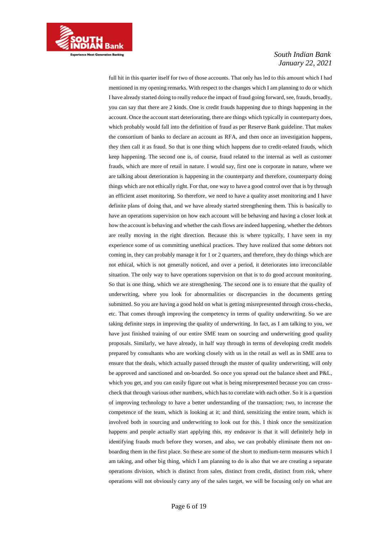

full hit in this quarter itself for two of those accounts. That only has led to this amount which I had mentioned in my opening remarks. With respect to the changes which I am planning to do or which I have already started doing to really reduce the impact of fraud going forward, see, frauds, broadly, you can say that there are 2 kinds. One is credit frauds happening due to things happening in the account. Once the account start deteriorating, there are things which typically in counterparty does, which probably would fall into the definition of fraud as per Reserve Bank guideline. That makes the consortium of banks to declare an account as RFA, and then once an investigation happens, they then call it as fraud. So that is one thing which happens due to credit-related frauds, which keep happening. The second one is, of course, fraud related to the internal as well as customer frauds, which are more of retail in nature. I would say, first one is corporate in nature, where we are talking about deterioration is happening in the counterparty and therefore, counterparty doing things which are not ethically right. For that, one way to have a good control over that is by through an efficient asset monitoring. So therefore, we need to have a quality asset monitoring and I have definite plans of doing that, and we have already started strengthening them. This is basically to have an operations supervision on how each account will be behaving and having a closer look at how the account is behaving and whether the cash flows are indeed happening, whether the debtors are really moving in the right direction. Because this is where typically, I have seen in my experience some of us committing unethical practices. They have realized that some debtors not coming in, they can probably manage it for 1 or 2 quarters, and therefore, they do things which are not ethical, which is not generally noticed, and over a period, it deteriorates into irreconcilable situation. The only way to have operations supervision on that is to do good account monitoring. So that is one thing, which we are strengthening. The second one is to ensure that the quality of underwriting, where you look for abnormalities or discrepancies in the documents getting submitted. So you are having a good hold on what is getting misrepresented through cross-checks, etc. That comes through improving the competency in terms of quality underwriting. So we are taking definite steps in improving the quality of underwriting. In fact, as I am talking to you, we have just finished training of our entire SME team on sourcing and underwriting good quality proposals. Similarly, we have already, in half way through in terms of developing credit models prepared by consultants who are working closely with us in the retail as well as in SME area to ensure that the deals, which actually passed through the muster of quality underwriting, will only be approved and sanctioned and on-boarded. So once you spread out the balance sheet and P&L, which you get, and you can easily figure out what is being misrepresented because you can crosscheck that through various other numbers, which has to correlate with each other. So it is a question of improving technology to have a better understanding of the transaction; two, to increase the competence of the team, which is looking at it; and third, sensitizing the entire team, which is involved both in sourcing and underwriting to look out for this. I think once the sensitization happens and people actually start applying this, my endeavor is that it will definitely help in identifying frauds much before they worsen, and also, we can probably eliminate them not onboarding them in the first place. So these are some of the short to medium-term measures which I am taking, and other big thing, which I am planning to do is also that we are creating a separate operations division, which is distinct from sales, distinct from credit, distinct from risk, where operations will not obviously carry any of the sales target, we will be focusing only on what are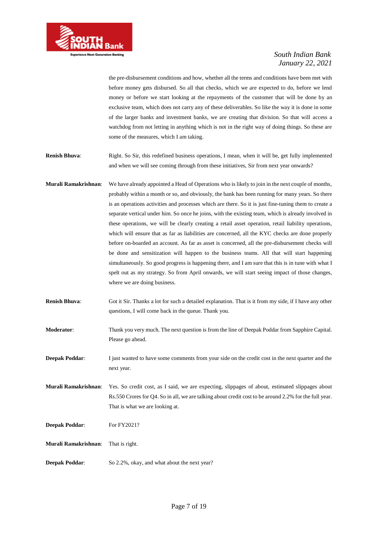

the pre-disbursement conditions and how, whether all the terms and conditions have been met with before money gets disbursed. So all that checks, which we are expected to do, before we lend money or before we start looking at the repayments of the customer that will be done by an exclusive team, which does not carry any of these deliverables. So like the way it is done in some of the larger banks and investment banks, we are creating that division. So that will access a watchdog from not letting in anything which is not in the right way of doing things. So these are some of the measures, which I am taking.

**Renish Bhuva**: Right. So Sir, this redefined business operations, I mean, when it will be, get fully implemented and when we will see coming through from these initiatives, Sir from next year onwards?

- **Murali Ramakrishnan**: We have already appointed a Head of Operations who is likely to join in the next couple of months, probably within a month or so, and obviously, the bank has been running for many years. So there is an operations activities and processes which are there. So it is just fine-tuning them to create a separate vertical under him. So once he joins, with the existing team, which is already involved in these operations, we will be clearly creating a retail asset operation, retail liability operations, which will ensure that as far as liabilities are concerned, all the KYC checks are done properly before on-boarded an account. As far as asset is concerned, all the pre-disbursement checks will be done and sensitization will happen to the business teams. All that will start happening simultaneously. So good progress is happening there, and I am sure that this is in tune with what I spelt out as my strategy. So from April onwards, we will start seeing impact of those changes, where we are doing business.
- **Renish Bhuva**: Got it Sir. Thanks a lot for such a detailed explanation. That is it from my side, if I have any other questions, I will come back in the queue. Thank you.

**Moderator**: Thank you very much. The next question is from the line of Deepak Poddar from Sapphire Capital. Please go ahead.

**Deepak Poddar:** I just wanted to have some comments from your side on the credit cost in the next quarter and the next year.

**Murali Ramakrishnan**: Yes. So credit cost, as I said, we are expecting, slippages of about, estimated slippages about Rs.550 Crores for Q4. So in all, we are talking about credit cost to be around 2.2% for the full year. That is what we are looking at.

**Deepak Poddar:** For FY2021?

**Murali Ramakrishnan**: That is right.

**Deepak Poddar:** So 2.2%, okay, and what about the next year?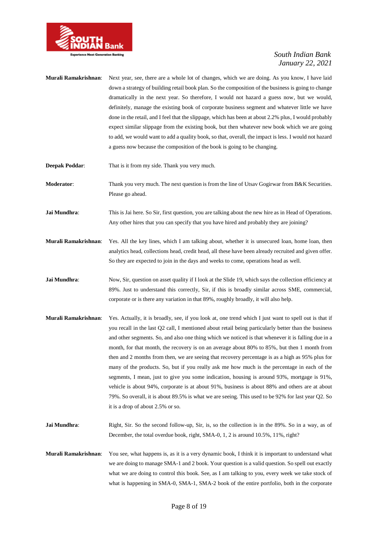

- **Murali Ramakrishnan**: Next year, see, there are a whole lot of changes, which we are doing. As you know, I have laid down a strategy of building retail book plan. So the composition of the business is going to change dramatically in the next year. So therefore, I would not hazard a guess now, but we would, definitely, manage the existing book of corporate business segment and whatever little we have done in the retail, and I feel that the slippage, which has been at about 2.2% plus, I would probably expect similar slippage from the existing book, but then whatever new book which we are going to add, we would want to add a quality book, so that, overall, the impact is less. I would not hazard a guess now because the composition of the book is going to be changing.
- **Deepak Poddar:** That is it from my side. Thank you very much.
- **Moderator:** Thank you very much. The next question is from the line of Utsav Gogirwar from B&K Securities. Please go ahead.
- **Jai Mundhra:** This is Jai here. So Sir, first question, you are talking about the new hire as in Head of Operations. Any other hires that you can specify that you have hired and probably they are joining?
- **Murali Ramakrishnan**: Yes. All the key lines, which I am talking about, whether it is unsecured loan, home loan, then analytics head, collections head, credit head, all these have been already recruited and given offer. So they are expected to join in the days and weeks to come, operations head as well.
- **Jai Mundhra:** Now, Sir, question on asset quality if I look at the Slide 19, which says the collection efficiency at 89%. Just to understand this correctly, Sir, if this is broadly similar across SME, commercial, corporate or is there any variation in that 89%, roughly broadly, it will also help.
- **Murali Ramakrishnan**: Yes. Actually, it is broadly, see, if you look at, one trend which I just want to spell out is that if you recall in the last Q2 call, I mentioned about retail being particularly better than the business and other segments. So, and also one thing which we noticed is that whenever it is falling due in a month, for that month, the recovery is on an average about 80% to 85%, but then 1 month from then and 2 months from then, we are seeing that recovery percentage is as a high as 95% plus for many of the products. So, but if you really ask me how much is the percentage in each of the segments, I mean, just to give you some indication, housing is around 93%, mortgage is 91%, vehicle is about 94%, corporate is at about 91%, business is about 88% and others are at about 79%. So overall, it is about 89.5% is what we are seeing. This used to be 92% for last year Q2. So it is a drop of about 2.5% or so.
- Jai Mundhra: Right, Sir. So the second follow-up, Sir, is, so the collection is in the 89%. So in a way, as of December, the total overdue book, right, SMA-0, 1, 2 is around 10.5%, 11%, right?
- **Murali Ramakrishnan**: You see, what happens is, as it is a very dynamic book, I think it is important to understand what we are doing to manage SMA-1 and 2 book. Your question is a valid question. So spell out exactly what we are doing to control this book. See, as I am talking to you, every week we take stock of what is happening in SMA-0, SMA-1, SMA-2 book of the entire portfolio, both in the corporate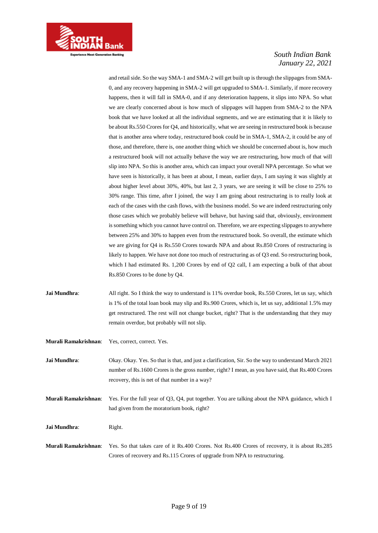

and retail side. So the way SMA-1 and SMA-2 will get built up is through the slippages from SMA-0, and any recovery happening in SMA-2 will get upgraded to SMA-1. Similarly, if more recovery happens, then it will fall in SMA-0, and if any deterioration happens, it slips into NPA. So what we are clearly concerned about is how much of slippages will happen from SMA-2 to the NPA book that we have looked at all the individual segments, and we are estimating that it is likely to be about Rs.550 Crores for Q4, and historically, what we are seeing in restructured book is because that is another area where today, restructured book could be in SMA-1, SMA-2, it could be any of those, and therefore, there is, one another thing which we should be concerned about is, how much a restructured book will not actually behave the way we are restructuring, how much of that will slip into NPA. So this is another area, which can impact your overall NPA percentage. So what we have seen is historically, it has been at about, I mean, earlier days, I am saying it was slightly at about higher level about 30%, 40%, but last 2, 3 years, we are seeing it will be close to 25% to 30% range. This time, after I joined, the way I am going about restructuring is to really look at each of the cases with the cash flows, with the business model. So we are indeed restructuring only those cases which we probably believe will behave, but having said that, obviously, environment is something which you cannot have control on. Therefore, we are expecting slippages to anywhere between 25% and 30% to happen even from the restructured book. So overall, the estimate which we are giving for Q4 is Rs.550 Crores towards NPA and about Rs.850 Crores of restructuring is likely to happen. We have not done too much of restructuring as of Q3 end. So restructuring book, which I had estimated Rs. 1,200 Crores by end of Q2 call, I am expecting a bulk of that about Rs.850 Crores to be done by Q4.

- **Jai Mundhra:** All right. So I think the way to understand is 11% overdue book, Rs.550 Crores, let us say, which is 1% of the total loan book may slip and Rs.900 Crores, which is, let us say, additional 1.5% may get restructured. The rest will not change bucket, right? That is the understanding that they may remain overdue, but probably will not slip.
- **Murali Ramakrishnan**: Yes, correct, correct. Yes.

**Jai Mundhra**: Okay. Okay. Yes. So that is that, and just a clarification, Sir. So the way to understand March 2021 number of Rs.1600 Crores is the gross number, right? I mean, as you have said, that Rs.400 Crores recovery, this is net of that number in a way?

**Murali Ramakrishnan**: Yes. For the full year of Q3, Q4, put together. You are talking about the NPA guidance, which I had given from the moratorium book, right?

**Jai Mundhra:** Right.

**Murali Ramakrishnan**: Yes. So that takes care of it Rs.400 Crores. Not Rs.400 Crores of recovery, it is about Rs.285 Crores of recovery and Rs.115 Crores of upgrade from NPA to restructuring.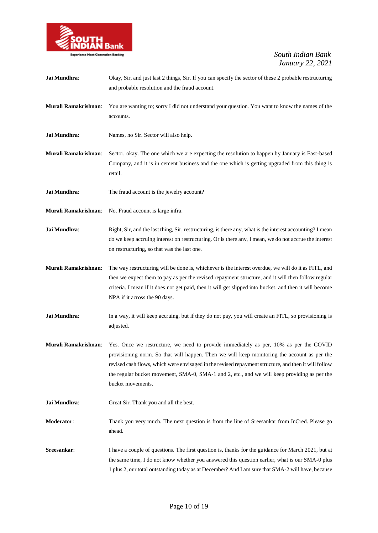

| Jai Mundhra:         | Okay, Sir, and just last 2 things, Sir. If you can specify the sector of these 2 probable restructuring<br>and probable resolution and the fraud account.                                                                                                                                                                                                                                                         |
|----------------------|-------------------------------------------------------------------------------------------------------------------------------------------------------------------------------------------------------------------------------------------------------------------------------------------------------------------------------------------------------------------------------------------------------------------|
| Murali Ramakrishnan: | You are wanting to; sorry I did not understand your question. You want to know the names of the<br>accounts.                                                                                                                                                                                                                                                                                                      |
| Jai Mundhra:         | Names, no Sir. Sector will also help.                                                                                                                                                                                                                                                                                                                                                                             |
| Murali Ramakrishnan: | Sector, okay. The one which we are expecting the resolution to happen by January is East-based<br>Company, and it is in cement business and the one which is getting upgraded from this thing is<br>retail.                                                                                                                                                                                                       |
| Jai Mundhra:         | The fraud account is the jewelry account?                                                                                                                                                                                                                                                                                                                                                                         |
| Murali Ramakrishnan: | No. Fraud account is large infra.                                                                                                                                                                                                                                                                                                                                                                                 |
| Jai Mundhra:         | Right, Sir, and the last thing, Sir, restructuring, is there any, what is the interest accounting? I mean<br>do we keep accruing interest on restructuring. Or is there any, I mean, we do not accrue the interest<br>on restructuring, so that was the last one.                                                                                                                                                 |
| Murali Ramakrishnan: | The way restructuring will be done is, whichever is the interest overdue, we will do it as FITL, and<br>then we expect them to pay as per the revised repayment structure, and it will then follow regular<br>criteria. I mean if it does not get paid, then it will get slipped into bucket, and then it will become<br>NPA if it across the 90 days.                                                            |
| Jai Mundhra:         | In a way, it will keep accruing, but if they do not pay, you will create an FITL, so provisioning is<br>adjusted.                                                                                                                                                                                                                                                                                                 |
| Murali Ramakrishnan: | Yes. Once we restructure, we need to provide immediately as per, 10% as per the COVID<br>provisioning norm. So that will happen. Then we will keep monitoring the account as per the<br>revised cash flows, which were envisaged in the revised repayment structure, and then it will follow<br>the regular bucket movement, SMA-0, SMA-1 and 2, etc., and we will keep providing as per the<br>bucket movements. |
| Jai Mundhra:         | Great Sir. Thank you and all the best.                                                                                                                                                                                                                                                                                                                                                                            |
| <b>Moderator:</b>    | Thank you very much. The next question is from the line of Sreesankar from InCred. Please go<br>ahead.                                                                                                                                                                                                                                                                                                            |
| Sreesankar:          | I have a couple of questions. The first question is, thanks for the guidance for March 2021, but at<br>the same time, I do not know whether you answered this question earlier, what is our SMA-0 plus<br>1 plus 2, our total outstanding today as at December? And I am sure that SMA-2 will have, because                                                                                                       |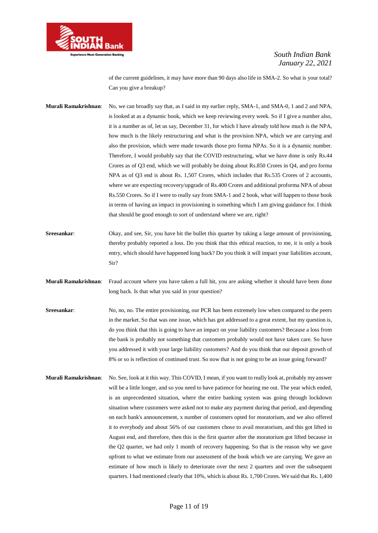

of the current guidelines, it may have more than 90 days also life in SMA-2. So what is your total? Can you give a breakup?

**Murali Ramakrishnan**: No, we can broadly say that, as I said in my earlier reply, SMA-1, and SMA-0, 1 and 2 and NPA, is looked at as a dynamic book, which we keep reviewing every week. So if I give a number also, it is a number as of, let us say, December 31, for which I have already told how much is the NPA, how much is the likely restructuring and what is the provision NPA, which we are carrying and also the provision, which were made towards those pro forma NPAs. So it is a dynamic number. Therefore, I would probably say that the COVID restructuring, what we have done is only Rs.44 Crores as of Q3 end, which we will probably be doing about Rs.850 Crores in Q4, and pro forma NPA as of Q3 end is about Rs. 1,507 Crores, which includes that Rs.535 Crores of 2 accounts, where we are expecting recovery/upgrade of Rs.400 Crores and additional proforma NPA of about Rs.550 Crores. So if I were to really say from SMA-1 and 2 book, what will happen to those book in terms of having an impact in provisioning is something which I am giving guidance for. I think that should be good enough to sort of understand where we are, right?

**Sreesankar:** Okay, and see, Sir, you have bit the bullet this quarter by taking a large amount of provisioning, thereby probably reported a loss. Do you think that this ethical reaction, to me, it is only a book entry, which should have happened long back? Do you think it will impact your liabilities account, Sir?

- **Murali Ramakrishnan**: Fraud account where you have taken a full hit, you are asking whether it should have been done long back. Is that what you said in your question?
- **Sreesankar:** No, no, no. The entire provisioning, our PCR has been extremely low when compared to the peers in the market. So that was one issue, which has got addressed to a great extent, but my question is, do you think that this is going to have an impact on your liability customers? Because a loss from the bank is probably not something that customers probably would not have taken care. So have you addressed it with your large liability customers? And do you think that our deposit growth of 8% or so is reflection of continued trust. So now that is not going to be an issue going forward?
- **Murali Ramakrishnan**: No. See, look at it this way. This COVID, I mean, if you want to really look at, probably my answer will be a little longer, and so you need to have patience for hearing me out. The year which ended, is an unprecedented situation, where the entire banking system was going through lockdown situation where customers were asked not to make any payment during that period, and depending on each bank's announcement, x number of customers opted for moratorium, and we also offered it to everybody and about 56% of our customers chose to avail moratorium, and this got lifted in August end, and therefore, then this is the first quarter after the moratorium got lifted because in the Q2 quarter, we had only 1 month of recovery happening. So that is the reason why we gave upfront to what we estimate from our assessment of the book which we are carrying. We gave an estimate of how much is likely to deteriorate over the next 2 quarters and over the subsequent quarters. I had mentioned clearly that 10%, which is about Rs. 1,700 Crores. We said that Rs. 1,400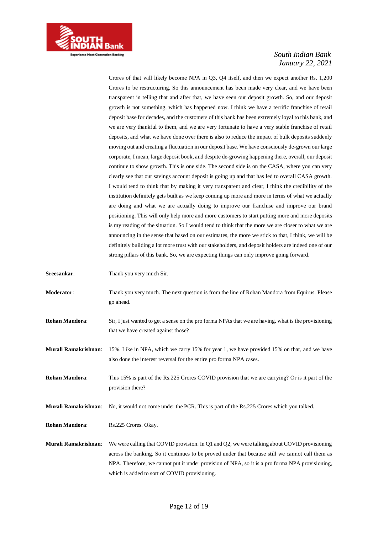

Crores of that will likely become NPA in Q3, Q4 itself, and then we expect another Rs. 1,200 Crores to be restructuring. So this announcement has been made very clear, and we have been transparent in telling that and after that, we have seen our deposit growth. So, and our deposit growth is not something, which has happened now. I think we have a terrific franchise of retail deposit base for decades, and the customers of this bank has been extremely loyal to this bank, and we are very thankful to them, and we are very fortunate to have a very stable franchise of retail deposits, and what we have done over there is also to reduce the impact of bulk deposits suddenly moving out and creating a fluctuation in our deposit base. We have consciously de-grown our large corporate, I mean, large deposit book, and despite de-growing happening there, overall, our deposit continue to show growth. This is one side. The second side is on the CASA, where you can very clearly see that our savings account deposit is going up and that has led to overall CASA growth. I would tend to think that by making it very transparent and clear, I think the credibility of the institution definitely gets built as we keep coming up more and more in terms of what we actually are doing and what we are actually doing to improve our franchise and improve our brand positioning. This will only help more and more customers to start putting more and more deposits is my reading of the situation. So I would tend to think that the more we are closer to what we are announcing in the sense that based on our estimates, the more we stick to that, I think, we will be definitely building a lot more trust with our stakeholders, and deposit holders are indeed one of our strong pillars of this bank. So, we are expecting things can only improve going forward.

**Sreesankar:** Thank you very much Sir.

- **Moderator**: Thank you very much. The next question is from the line of Rohan Mandora from Equirus. Please go ahead.
- **Rohan Mandora:** Sir, I just wanted to get a sense on the pro forma NPAs that we are having, what is the provisioning that we have created against those?
- **Murali Ramakrishnan**: 15%. Like in NPA, which we carry 15% for year 1, we have provided 15% on that, and we have also done the interest reversal for the entire pro forma NPA cases.

**Rohan Mandora**: This 15% is part of the Rs.225 Crores COVID provision that we are carrying? Or is it part of the provision there?

**Murali Ramakrishnan**: No, it would not come under the PCR. This is part of the Rs.225 Crores which you talked.

**Rohan Mandora**: Rs.225 Crores. Okay.

**Murali Ramakrishnan**: We were calling that COVID provision. In Q1 and Q2, we were talking about COVID provisioning across the banking. So it continues to be proved under that because still we cannot call them as NPA. Therefore, we cannot put it under provision of NPA, so it is a pro forma NPA provisioning, which is added to sort of COVID provisioning.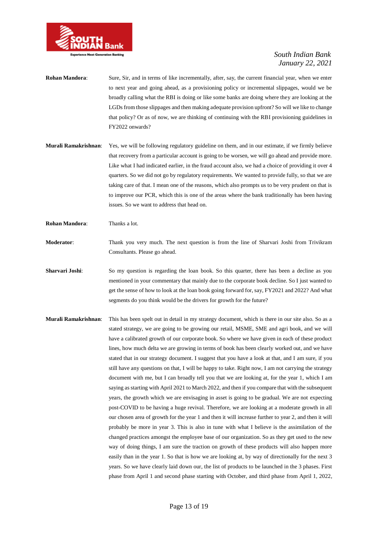

- **Rohan Mandora**: Sure, Sir, and in terms of like incrementally, after, say, the current financial year, when we enter to next year and going ahead, as a provisioning policy or incremental slippages, would we be broadly calling what the RBI is doing or like some banks are doing where they are looking at the LGDs from those slippages and then making adequate provision upfront? So will we like to change that policy? Or as of now, we are thinking of continuing with the RBI provisioning guidelines in FY2022 onwards?
- **Murali Ramakrishnan**: Yes, we will be following regulatory guideline on them, and in our estimate, if we firmly believe that recovery from a particular account is going to be worsen, we will go ahead and provide more. Like what I had indicated earlier, in the fraud account also, we had a choice of providing it over 4 quarters. So we did not go by regulatory requirements. We wanted to provide fully, so that we are taking care of that. I mean one of the reasons, which also prompts us to be very prudent on that is to improve our PCR, which this is one of the areas where the bank traditionally has been having issues. So we want to address that head on.
- **Rohan Mandora**: Thanks a lot.
- **Moderator**: Thank you very much. The next question is from the line of Sharvari Joshi from Trivikram Consultants. Please go ahead.
- **Sharvari Joshi:** So my question is regarding the loan book. So this quarter, there has been a decline as you mentioned in your commentary that mainly due to the corporate book decline. So I just wanted to get the sense of how to look at the loan book going forward for, say, FY2021 and 2022? And what segments do you think would be the drivers for growth for the future?
- **Murali Ramakrishnan**: This has been spelt out in detail in my strategy document, which is there in our site also. So as a stated strategy, we are going to be growing our retail, MSME, SME and agri book, and we will have a calibrated growth of our corporate book. So where we have given in each of these product lines, how much delta we are growing in terms of book has been clearly worked out, and we have stated that in our strategy document. I suggest that you have a look at that, and I am sure, if you still have any questions on that, I will be happy to take. Right now, I am not carrying the strategy document with me, but I can broadly tell you that we are looking at, for the year 1, which I am saying as starting with April 2021 to March 2022, and then if you compare that with the subsequent years, the growth which we are envisaging in asset is going to be gradual. We are not expecting post-COVID to be having a huge revival. Therefore, we are looking at a moderate growth in all our chosen area of growth for the year 1 and then it will increase further to year 2, and then it will probably be more in year 3. This is also in tune with what I believe is the assimilation of the changed practices amongst the employee base of our organization. So as they get used to the new way of doing things, I am sure the traction on growth of these products will also happen more easily than in the year 1. So that is how we are looking at, by way of directionally for the next 3 years. So we have clearly laid down our, the list of products to be launched in the 3 phases. First phase from April 1 and second phase starting with October, and third phase from April 1, 2022,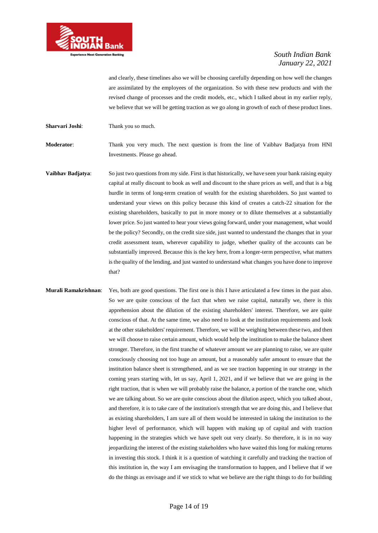

and clearly, these timelines also we will be choosing carefully depending on how well the changes are assimilated by the employees of the organization. So with these new products and with the revised change of processes and the credit models, etc., which I talked about in my earlier reply, we believe that we will be getting traction as we go along in growth of each of these product lines.

**Sharvari Joshi:** Thank you so much.

**Moderator**: Thank you very much. The next question is from the line of Vaibhav Badjatya from HNI Investments. Please go ahead.

**Vaibhav Badjatya:** So just two questions from my side. First is that historically, we have seen your bank raising equity capital at really discount to book as well and discount to the share prices as well, and that is a big hurdle in terms of long-term creation of wealth for the existing shareholders. So just wanted to understand your views on this policy because this kind of creates a catch-22 situation for the existing shareholders, basically to put in more money or to dilute themselves at a substantially lower price. So just wanted to hear your views going forward, under your management, what would be the policy? Secondly, on the credit size side, just wanted to understand the changes that in your credit assessment team, wherever capability to judge, whether quality of the accounts can be substantially improved. Because this is the key here, from a longer-term perspective, what matters is the quality of the lending, and just wanted to understand what changes you have done to improve that?

**Murali Ramakrishnan**: Yes, both are good questions. The first one is this I have articulated a few times in the past also. So we are quite conscious of the fact that when we raise capital, naturally we, there is this apprehension about the dilution of the existing shareholders' interest. Therefore, we are quite conscious of that. At the same time, we also need to look at the institution requirements and look at the other stakeholders' requirement. Therefore, we will be weighing between these two, and then we will choose to raise certain amount, which would help the institution to make the balance sheet stronger. Therefore, in the first tranche of whatever amount we are planning to raise, we are quite consciously choosing not too huge an amount, but a reasonably safer amount to ensure that the institution balance sheet is strengthened, and as we see traction happening in our strategy in the coming years starting with, let us say, April 1, 2021, and if we believe that we are going in the right traction, that is when we will probably raise the balance, a portion of the tranche one, which we are talking about. So we are quite conscious about the dilution aspect, which you talked about, and therefore, it is to take care of the institution's strength that we are doing this, and I believe that as existing shareholders, I am sure all of them would be interested in taking the institution to the higher level of performance, which will happen with making up of capital and with traction happening in the strategies which we have spelt out very clearly. So therefore, it is in no way jeopardizing the interest of the existing stakeholders who have waited this long for making returns in investing this stock. I think it is a question of watching it carefully and tracking the traction of this institution in, the way I am envisaging the transformation to happen, and I believe that if we do the things as envisage and if we stick to what we believe are the right things to do for building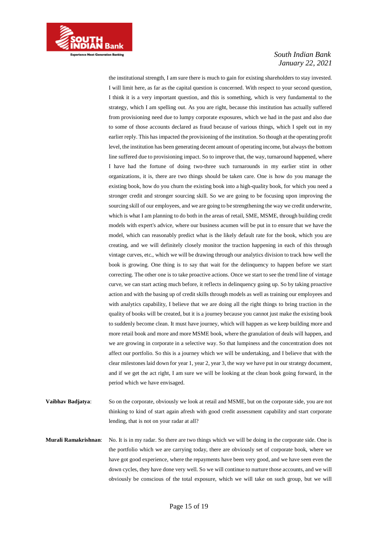

the institutional strength, I am sure there is much to gain for existing shareholders to stay invested. I will limit here, as far as the capital question is concerned. With respect to your second question, I think it is a very important question, and this is something, which is very fundamental to the strategy, which I am spelling out. As you are right, because this institution has actually suffered from provisioning need due to lumpy corporate exposures, which we had in the past and also due to some of those accounts declared as fraud because of various things, which I spelt out in my earlier reply. This has impacted the provisioning of the institution. So though at the operating profit level, the institution has been generating decent amount of operating income, but always the bottom line suffered due to provisioning impact. So to improve that, the way, turnaround happened, where I have had the fortune of doing two-three such turnarounds in my earlier stint in other organizations, it is, there are two things should be taken care. One is how do you manage the existing book, how do you churn the existing book into a high-quality book, for which you need a stronger credit and stronger sourcing skill. So we are going to be focusing upon improving the sourcing skill of our employees, and we are going to be strengthening the way we credit underwrite, which is what I am planning to do both in the areas of retail, SME, MSME, through building credit models with expert's advice, where our business acumen will be put in to ensure that we have the model, which can reasonably predict what is the likely default rate for the book, which you are creating, and we will definitely closely monitor the traction happening in each of this through vintage curves, etc., which we will be drawing through our analytics division to track how well the book is growing. One thing is to say that wait for the delinquency to happen before we start correcting. The other one is to take proactive actions. Once we start to see the trend line of vintage curve, we can start acting much before, it reflects in delinquency going up. So by taking proactive action and with the basing up of credit skills through models as well as training our employees and with analytics capability, I believe that we are doing all the right things to bring traction in the quality of books will be created, but it is a journey because you cannot just make the existing book to suddenly become clean. It must have journey, which will happen as we keep building more and more retail book and more and more MSME book, where the granulation of deals will happen, and we are growing in corporate in a selective way. So that lumpiness and the concentration does not affect our portfolio. So this is a journey which we will be undertaking, and I believe that with the clear milestones laid down for year 1, year 2, year 3, the way we have put in our strategy document, and if we get the act right, I am sure we will be looking at the clean book going forward, in the period which we have envisaged.

- **Vaibhav Badjatya:** So on the corporate, obviously we look at retail and MSME, but on the corporate side, you are not thinking to kind of start again afresh with good credit assessment capability and start corporate lending, that is not on your radar at all?
- **Murali Ramakrishnan**: No. It is in my radar. So there are two things which we will be doing in the corporate side. One is the portfolio which we are carrying today, there are obviously set of corporate book, where we have got good experience, where the repayments have been very good, and we have seen even the down cycles, they have done very well. So we will continue to nurture those accounts, and we will obviously be conscious of the total exposure, which we will take on such group, but we will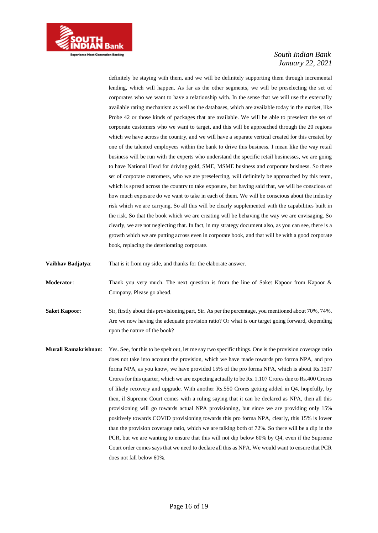

definitely be staying with them, and we will be definitely supporting them through incremental lending, which will happen. As far as the other segments, we will be preselecting the set of corporates who we want to have a relationship with. In the sense that we will use the externally available rating mechanism as well as the databases, which are available today in the market, like Probe 42 or those kinds of packages that are available. We will be able to preselect the set of corporate customers who we want to target, and this will be approached through the 20 regions which we have across the country, and we will have a separate vertical created for this created by one of the talented employees within the bank to drive this business. I mean like the way retail business will be run with the experts who understand the specific retail businesses, we are going to have National Head for driving gold, SME, MSME business and corporate business. So these set of corporate customers, who we are preselecting, will definitely be approached by this team, which is spread across the country to take exposure, but having said that, we will be conscious of how much exposure do we want to take in each of them. We will be conscious about the industry risk which we are carrying. So all this will be clearly supplemented with the capabilities built in the risk. So that the book which we are creating will be behaving the way we are envisaging. So clearly, we are not neglecting that. In fact, in my strategy document also, as you can see, there is a growth which we are putting across even in corporate book, and that will be with a good corporate book, replacing the deteriorating corporate.

**Vaibhav Badjatya**: That is it from my side, and thanks for the elaborate answer.

**Moderator:** Thank you very much. The next question is from the line of Saket Kapoor from Kapoor & Company. Please go ahead.

**Saket Kapoor:** Sir, firstly about this provisioning part, Sir. As per the percentage, you mentioned about 70%, 74%. Are we now having the adequate provision ratio? Or what is our target going forward, depending upon the nature of the book?

**Murali Ramakrishnan**: Yes. See, for this to be spelt out, let me say two specific things. One is the provision coverage ratio does not take into account the provision, which we have made towards pro forma NPA, and pro forma NPA, as you know, we have provided 15% of the pro forma NPA, which is about Rs.1507 Crores for this quarter, which we are expecting actually to be Rs. 1,107 Crores due to Rs.400 Crores of likely recovery and upgrade. With another Rs.550 Crores getting added in Q4, hopefully, by then, if Supreme Court comes with a ruling saying that it can be declared as NPA, then all this provisioning will go towards actual NPA provisioning, but since we are providing only 15% positively towards COVID provisioning towards this pro forma NPA, clearly, this 15% is lower than the provision coverage ratio, which we are talking both of 72%. So there will be a dip in the PCR, but we are wanting to ensure that this will not dip below 60% by Q4, even if the Supreme Court order comes says that we need to declare all this as NPA. We would want to ensure that PCR does not fall below 60%.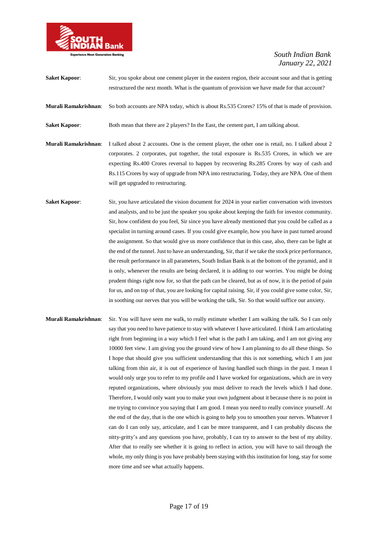

| <b>Saket Kapoor:</b> | Sir, you spoke about one cement player in the eastern region, their account sour and that is getting<br>restructured the next month. What is the quantum of provision we have made for that account?                                                                                                                                                                                                                                                                                                                                                                                                                                                                                                                                                                                                                                                                                                                                                                                                                                                                                                                                                                          |
|----------------------|-------------------------------------------------------------------------------------------------------------------------------------------------------------------------------------------------------------------------------------------------------------------------------------------------------------------------------------------------------------------------------------------------------------------------------------------------------------------------------------------------------------------------------------------------------------------------------------------------------------------------------------------------------------------------------------------------------------------------------------------------------------------------------------------------------------------------------------------------------------------------------------------------------------------------------------------------------------------------------------------------------------------------------------------------------------------------------------------------------------------------------------------------------------------------------|
| Murali Ramakrishnan: | So both accounts are NPA today, which is about Rs.535 Crores? 15% of that is made of provision.                                                                                                                                                                                                                                                                                                                                                                                                                                                                                                                                                                                                                                                                                                                                                                                                                                                                                                                                                                                                                                                                               |
| <b>Saket Kapoor:</b> | Both mean that there are 2 players? In the East, the cement part, I am talking about.                                                                                                                                                                                                                                                                                                                                                                                                                                                                                                                                                                                                                                                                                                                                                                                                                                                                                                                                                                                                                                                                                         |
| Murali Ramakrishnan: | I talked about 2 accounts. One is the cement player, the other one is retail, no. I talked about 2<br>corporates. 2 corporates, put together, the total exposure is Rs.535 Crores, in which we are<br>expecting Rs.400 Crores reversal to happen by recovering Rs.285 Crores by way of cash and<br>Rs.115 Crores by way of upgrade from NPA into restructuring. Today, they are NPA. One of them<br>will get upgraded to restructuring.                                                                                                                                                                                                                                                                                                                                                                                                                                                                                                                                                                                                                                                                                                                                       |
| <b>Saket Kapoor:</b> | Sir, you have articulated the vision document for 2024 in your earlier conversation with investors<br>and analysts, and to be just the speaker you spoke about keeping the faith for investor community.<br>Sir, how confident do you feel, Sir since you have already mentioned that you could be called as a<br>specialist in turning around cases. If you could give example, how you have in past turned around<br>the assignment. So that would give us more confidence that in this case, also, there can be light at<br>the end of the tunnel. Just to have an understanding, Sir, that if we take the stock price performance,<br>the result performance in all parameters, South Indian Bank is at the bottom of the pyramid, and it<br>is only, whenever the results are being declared, it is adding to our worries. You might be doing<br>prudent things right now for, so that the path can be cleared, but as of now, it is the period of pain<br>for us, and on top of that, you are looking for capital raising. Sir, if you could give some color, Sir,<br>in soothing our nerves that you will be working the talk, Sir. So that would suffice our anxiety. |
| Murali Ramakrishnan: | Sir. You will have seen me walk, to really estimate whether I am walking the talk. So I can only<br>say that you need to have patience to stay with whatever I have articulated. I think I am articulating                                                                                                                                                                                                                                                                                                                                                                                                                                                                                                                                                                                                                                                                                                                                                                                                                                                                                                                                                                    |

right from beginning in a way which I feel what is the path I am taking, and I am not giving any 10000 feet view. I am giving you the ground view of how I am planning to do all these things. So I hope that should give you sufficient understanding that this is not something, which I am just talking from thin air, it is out of experience of having handled such things in the past. I mean I would only urge you to refer to my profile and I have worked for organizations, which are in very reputed organizations, where obviously you must deliver to reach the levels which I had done. Therefore, I would only want you to make your own judgment about it because there is no point in me trying to convince you saying that I am good. I mean you need to really convince yourself. At the end of the day, that is the one which is going to help you to smoothen your nerves. Whatever I can do I can only say, articulate, and I can be more transparent, and I can probably discuss the nitty-gritty's and any questions you have, probably, I can try to answer to the best of my ability. After that to really see whether it is going to reflect in action, you will have to sail through the whole, my only thing is you have probably been staying with this institution for long, stay for some more time and see what actually happens.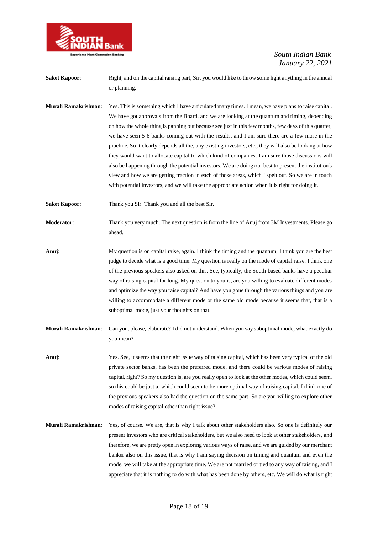

- **Saket Kapoor:** Right, and on the capital raising part, Sir, you would like to throw some light anything in the annual or planning.
- **Murali Ramakrishnan**: Yes. This is something which I have articulated many times. I mean, we have plans to raise capital. We have got approvals from the Board, and we are looking at the quantum and timing, depending on how the whole thing is panning out because see just in this few months, few days of this quarter, we have seen 5-6 banks coming out with the results, and I am sure there are a few more in the pipeline. So it clearly depends all the, any existing investors, etc., they will also be looking at how they would want to allocate capital to which kind of companies. I am sure those discussions will also be happening through the potential investors. We are doing our best to present the institution's view and how we are getting traction in each of those areas, which I spelt out. So we are in touch with potential investors, and we will take the appropriate action when it is right for doing it.
- Saket Kapoor: Thank you Sir. Thank you and all the best Sir.
- **Moderator**: Thank you very much. The next question is from the line of Anuj from 3M Investments. Please go ahead.
- **Anuj**: My question is on capital raise, again. I think the timing and the quantum; I think you are the best judge to decide what is a good time. My question is really on the mode of capital raise. I think one of the previous speakers also asked on this. See, typically, the South-based banks have a peculiar way of raising capital for long. My question to you is, are you willing to evaluate different modes and optimize the way you raise capital? And have you gone through the various things and you are willing to accommodate a different mode or the same old mode because it seems that, that is a suboptimal mode, just your thoughts on that.
- **Murali Ramakrishnan**: Can you, please, elaborate? I did not understand. When you say suboptimal mode, what exactly do you mean?
- **Anuj**: Yes. See, it seems that the right issue way of raising capital, which has been very typical of the old private sector banks, has been the preferred mode, and there could be various modes of raising capital, right? So my question is, are you really open to look at the other modes, which could seem, so this could be just a, which could seem to be more optimal way of raising capital. I think one of the previous speakers also had the question on the same part. So are you willing to explore other modes of raising capital other than right issue?
- **Murali Ramakrishnan**: Yes, of course. We are, that is why I talk about other stakeholders also. So one is definitely our present investors who are critical stakeholders, but we also need to look at other stakeholders, and therefore, we are pretty open in exploring various ways of raise, and we are guided by our merchant banker also on this issue, that is why I am saying decision on timing and quantum and even the mode, we will take at the appropriate time. We are not married or tied to any way of raising, and I appreciate that it is nothing to do with what has been done by others, etc. We will do what is right